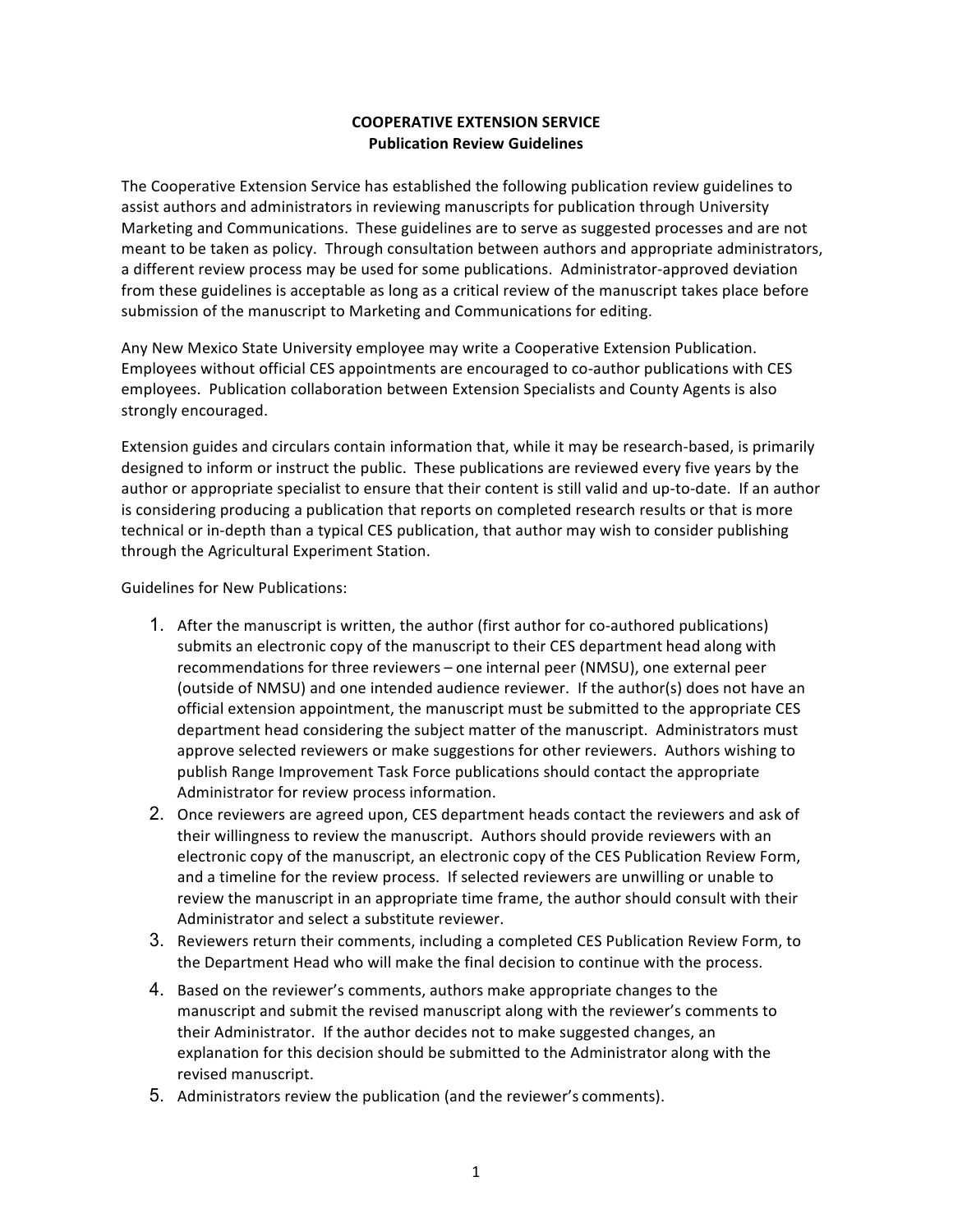## **COOPERATIVE EXTENSION SERVICE Publication Review Guidelines**

 The Cooperative Extension Service has established the following publication review guidelines to assist authors and administrators in reviewing manuscripts for publication through University Marketing and Communications. These guidelines are to serve as suggested processes and are not meant to be taken as policy. Through consultation between authors and appropriate administrators, a different review process may be used for some publications. Administrator-approved deviation from these guidelines is acceptable as long as a critical review of the manuscript takes place before submission of the manuscript to Marketing and Communications for editing.

Any New Mexico State University employee may write a Cooperative Extension Publication. Employees without official CES appointments are encouraged to co-author publications with CES employees. Publication collaboration between Extension Specialists and County Agents is also strongly encouraged.

 Extension guides and circulars contain information that, while it may be research-based, is primarily designed to inform or instruct the public. These publications are reviewed every five years by the author or appropriate specialist to ensure that their content is still valid and up-to-date. If an author technical or in-depth than a typical CES publication, that author may wish to consider publishing through the Agricultural Experiment Station. is considering producing a publication that reports on completed research results or that is more

 Guidelines for New Publications:

- 1. After the manuscript is written, the author (first author for co-authored publications) submits an electronic copy of the manuscript to their CES department head along with recommendations for three reviewers - one internal peer (NMSU), one external peer (outside of NMSU) and one intended audience reviewer. If the author(s) does not have an official extension appointment, the manuscript must be submitted to the appropriate CES department head considering the subject matter of the manuscript. Administrators must approve selected reviewers or make suggestions for other reviewers. Authors wishing to publish Range Improvement Task Force publications should contact the appropriate Administrator for review process information.
- 2. Once reviewers are agreed upon, CES department heads contact the reviewers and ask of their willingness to review the manuscript. Authors should provide reviewers with an electronic copy of the manuscript, an electronic copy of the CES Publication Review Form, and a timeline for the review process. If selected reviewers are unwilling or unable to review the manuscript in an appropriate time frame, the author should consult with their Administrator and select a substitute reviewer.
- 3. Reviewers return their comments, including a completed CES Publication Review Form, to the Department Head who will make the final decision to continue with the process.
- 4. Based on the reviewer's comments, authors make appropriate changes to the manuscript and submit the revised manuscript along with the reviewer's comments to explanation for this decision should be submitted to the Administrator along with the revised manuscript. their Administrator. If the author decides not to make suggested changes, an
- 5. Administrators review the publication (and the reviewer's comments).